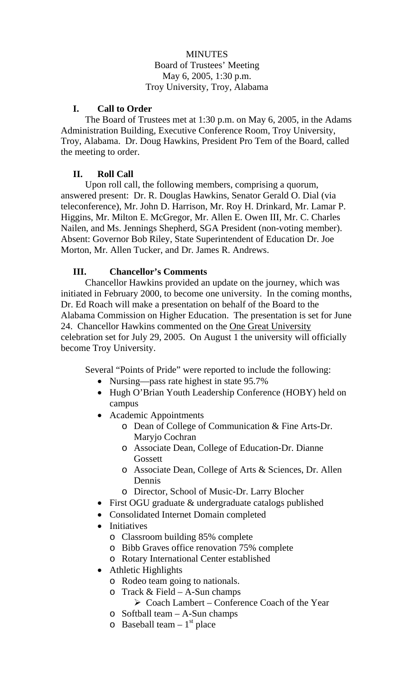### MINUTES Board of Trustees' Meeting May 6, 2005, 1:30 p.m. Troy University, Troy, Alabama

### **I. Call to Order**

The Board of Trustees met at 1:30 p.m. on May 6, 2005, in the Adams Administration Building, Executive Conference Room, Troy University, Troy, Alabama. Dr. Doug Hawkins, President Pro Tem of the Board, called the meeting to order.

### **II. Roll Call**

Upon roll call, the following members, comprising a quorum, answered present: Dr. R. Douglas Hawkins, Senator Gerald O. Dial (via teleconference), Mr. John D. Harrison, Mr. Roy H. Drinkard, Mr. Lamar P. Higgins, Mr. Milton E. McGregor, Mr. Allen E. Owen III, Mr. C. Charles Nailen, and Ms. Jennings Shepherd, SGA President (non-voting member). Absent: Governor Bob Riley, State Superintendent of Education Dr. Joe Morton, Mr. Allen Tucker, and Dr. James R. Andrews.

### **III. Chancellor's Comments**

Chancellor Hawkins provided an update on the journey, which was initiated in February 2000, to become one university. In the coming months, Dr. Ed Roach will make a presentation on behalf of the Board to the Alabama Commission on Higher Education. The presentation is set for June 24. Chancellor Hawkins commented on the One Great University celebration set for July 29, 2005. On August 1 the university will officially become Troy University.

Several "Points of Pride" were reported to include the following:

- Nursing—pass rate highest in state 95.7%
- Hugh O'Brian Youth Leadership Conference (HOBY) held on campus
- Academic Appointments
	- o Dean of College of Communication & Fine Arts-Dr. Maryjo Cochran
	- o Associate Dean, College of Education-Dr. Dianne Gossett
	- o Associate Dean, College of Arts & Sciences, Dr. Allen Dennis
	- o Director, School of Music-Dr. Larry Blocher
- First OGU graduate & undergraduate catalogs published
- Consolidated Internet Domain completed
- Initiatives
	- o Classroom building 85% complete
	- o Bibb Graves office renovation 75% complete
	- o Rotary International Center established
- Athletic Highlights
	- o Rodeo team going to nationals.
	- o Track & Field A-Sun champs
		- $\triangleright$  Coach Lambert Conference Coach of the Year
	- o Softball team A-Sun champs
	- $\circ$  Baseball team 1<sup>st</sup> place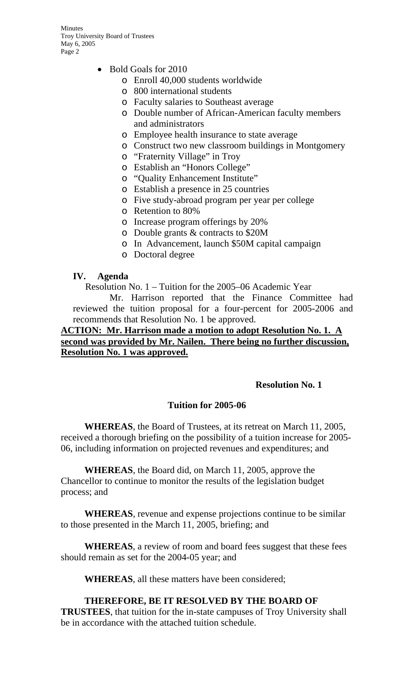- Bold Goals for 2010
	- o Enroll 40,000 students worldwide
	- o 800 international students
	- o Faculty salaries to Southeast average
	- o Double number of African-American faculty members and administrators
	- o Employee health insurance to state average
	- o Construct two new classroom buildings in Montgomery
	- o "Fraternity Village" in Troy
	- o Establish an "Honors College"
	- o "Quality Enhancement Institute"
	- o Establish a presence in 25 countries
	- o Five study-abroad program per year per college
	- o Retention to 80%
	- o Increase program offerings by 20%
	- o Double grants & contracts to \$20M
	- o In Advancement, launch \$50M capital campaign
	- o Doctoral degree

#### **IV. Agenda**

Resolution No. 1 – Tuition for the 2005–06 Academic Year

 Mr. Harrison reported that the Finance Committee had reviewed the tuition proposal for a four-percent for 2005-2006 and recommends that Resolution No. 1 be approved.

# **ACTION: Mr. Harrison made a motion to adopt Resolution No. 1. A second was provided by Mr. Nailen. There being no further discussion, Resolution No. 1 was approved.**

#### **Resolution No. 1**

### **Tuition for 2005-06**

**WHEREAS**, the Board of Trustees, at its retreat on March 11, 2005, received a thorough briefing on the possibility of a tuition increase for 2005- 06, including information on projected revenues and expenditures; and

**WHEREAS**, the Board did, on March 11, 2005, approve the Chancellor to continue to monitor the results of the legislation budget process; and

**WHEREAS**, revenue and expense projections continue to be similar to those presented in the March 11, 2005, briefing; and

**WHEREAS**, a review of room and board fees suggest that these fees should remain as set for the 2004-05 year; and

**WHEREAS**, all these matters have been considered;

#### **THEREFORE, BE IT RESOLVED BY THE BOARD OF**

**TRUSTEES**, that tuition for the in-state campuses of Troy University shall be in accordance with the attached tuition schedule.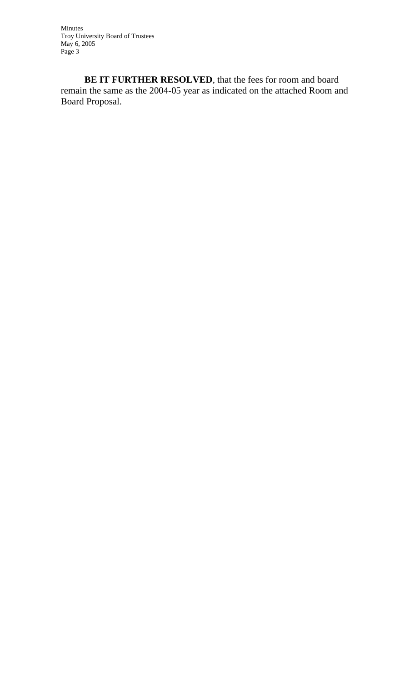**BE IT FURTHER RESOLVED**, that the fees for room and board remain the same as the 2004-05 year as indicated on the attached Room and Board Proposal.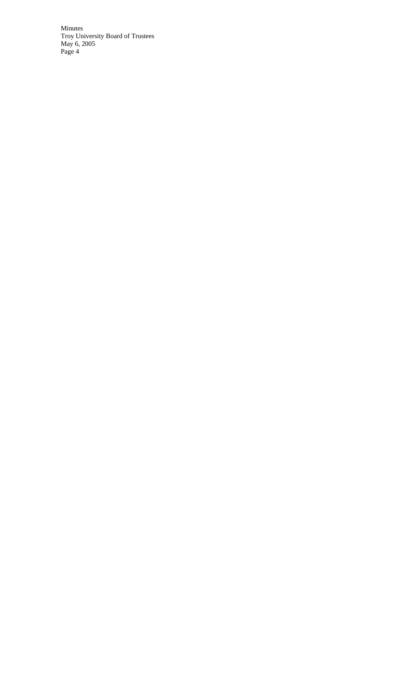M inutes Troy May 6 Page 4 University Board of Trustees , 2005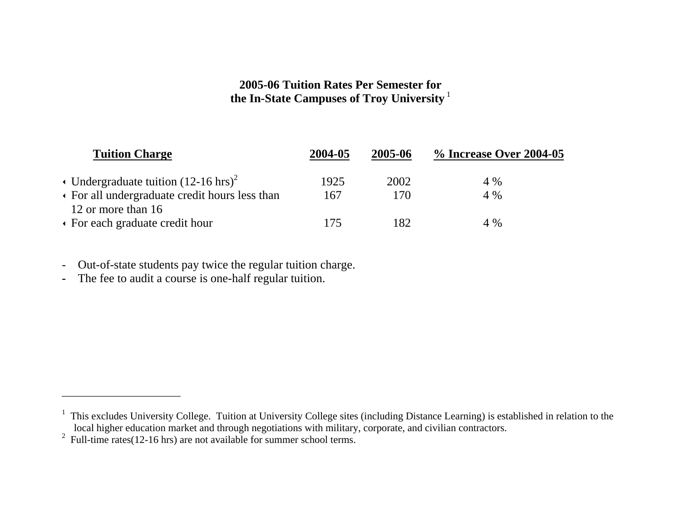# **2005-06 Tuition Rates Per Semester for the In-State Campuses of Troy University**<sup>1</sup>

| 2004-05 | 2005-06 | % Increase Over 2004-05 |  |
|---------|---------|-------------------------|--|
| 1925    | 2002    | 4 %                     |  |
| 167     | 170     | $4\%$                   |  |
|         |         |                         |  |
| 175     | 182     | 4 %                     |  |
|         |         |                         |  |

- Out-of-state students pay twice the regular tuition charge.

**-** The fee to audit a course is one-half regular tuition.

\_\_\_\_\_\_\_\_\_\_\_\_\_\_\_\_\_\_\_\_\_\_\_

<sup>&</sup>lt;sup>1</sup> This excludes University College. Tuition at University College sites (including Distance Learning) is established in relation to the local higher education market and through negotiations with military, corporate, and civilian contractors.

<sup>&</sup>lt;sup>2</sup> Full-time rates(12-16 hrs) are not available for summer school terms.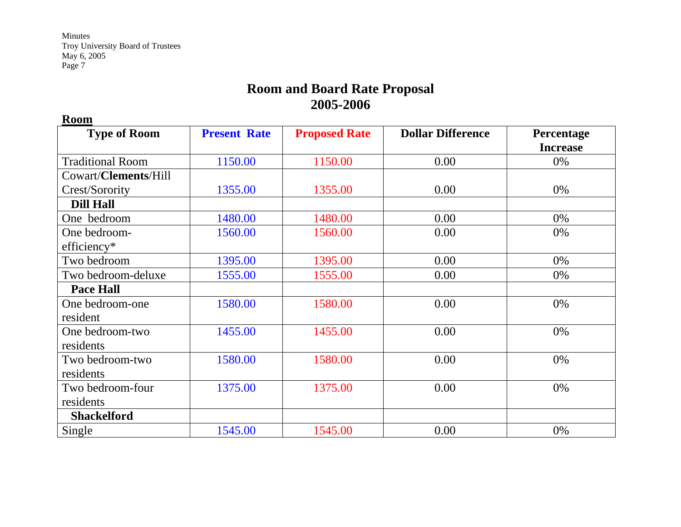# **Room and Board Rate Proposal 2005-2006**

**Room**

| <b>Type of Room</b>           | <b>Present Rate</b> | <b>Proposed Rate</b> | <b>Dollar Difference</b> | Percentage<br><b>Increase</b> |
|-------------------------------|---------------------|----------------------|--------------------------|-------------------------------|
| <b>Traditional Room</b>       | 1150.00             | 1150.00              | 0.00                     | 0%                            |
| Cowart/Clements/Hill          |                     |                      |                          |                               |
| Crest/Sorority                | 1355.00             | 1355.00              | 0.00                     | 0%                            |
| <b>Dill Hall</b>              |                     |                      |                          |                               |
| One bedroom                   | 1480.00             | 1480.00              | 0.00                     | 0%                            |
| One bedroom-<br>$efficiency*$ | 1560.00             | 1560.00              | 0.00                     | $0\%$                         |
| Two bedroom                   | 1395.00             | 1395.00              | 0.00                     | 0%                            |
| Two bedroom-deluxe            | 1555.00             | 1555.00              | 0.00                     | $0\%$                         |
| <b>Pace Hall</b>              |                     |                      |                          |                               |
| One bedroom-one<br>resident   | 1580.00             | 1580.00              | 0.00                     | 0%                            |
| One bedroom-two<br>residents  | 1455.00             | 1455.00              | 0.00                     | 0%                            |
| Two bedroom-two<br>residents  | 1580.00             | 1580.00              | 0.00                     | 0%                            |
| Two bedroom-four<br>residents | 1375.00             | 1375.00              | 0.00                     | 0%                            |
| <b>Shackelford</b>            |                     |                      |                          |                               |
| Single                        | 1545.00             | 1545.00              | 0.00                     | 0%                            |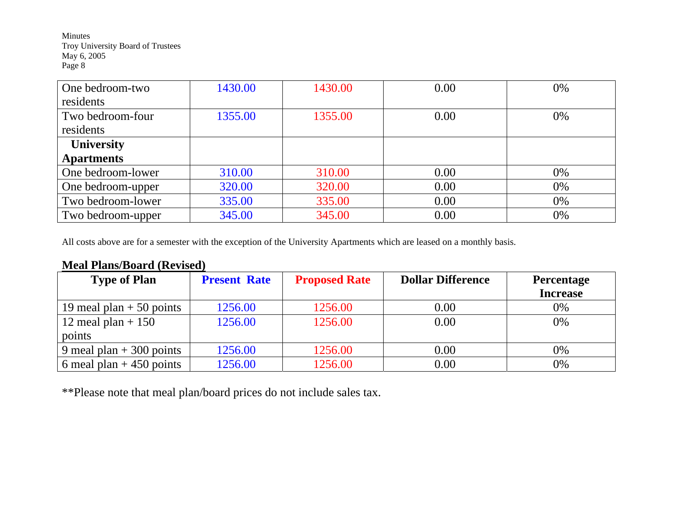| One bedroom-two   | 1430.00 | 1430.00 | 0.00 | 0% |
|-------------------|---------|---------|------|----|
| residents         |         |         |      |    |
| Two bedroom-four  | 1355.00 | 1355.00 | 0.00 | 0% |
| residents         |         |         |      |    |
| <b>University</b> |         |         |      |    |
| <b>Apartments</b> |         |         |      |    |
| One bedroom-lower | 310.00  | 310.00  | 0.00 | 0% |
| One bedroom-upper | 320.00  | 320.00  | 0.00 | 0% |
| Two bedroom-lower | 335.00  | 335.00  | 0.00 | 0% |
| Two bedroom-upper | 345.00  | 345.00  | 0.00 | 0% |

All costs above are for a semester with the exception of the University Apartments which are leased on a monthly basis.

# **Meal Plans/Board (Revised)**

| <b>Type of Plan</b>        | <b>Present Rate</b> | <b>Proposed Rate</b> | <b>Dollar Difference</b> | <b>Percentage</b> |
|----------------------------|---------------------|----------------------|--------------------------|-------------------|
|                            |                     |                      |                          | <b>Increase</b>   |
| 19 meal plan $+$ 50 points | 1256.00             | 1256.00              | 0.00                     | 0%                |
| 12 meal plan + $150$       | 1256.00             | 1256.00              | 0.00                     | 0%                |
| points                     |                     |                      |                          |                   |
| 9 meal plan $+$ 300 points | 1256.00             | 1256.00              | 0.00                     | 0%                |
| 6 meal plan + 450 points   | 1256.00             | 1256.00              | 0.00                     | 0%                |

\*\*Please note that meal plan/board prices do not include sales tax.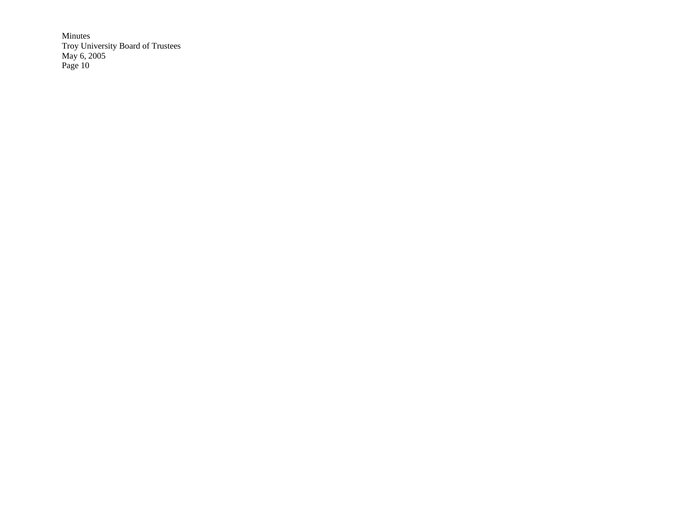Minutes Troy May 6 Page 10 University Board of Trustees , 2005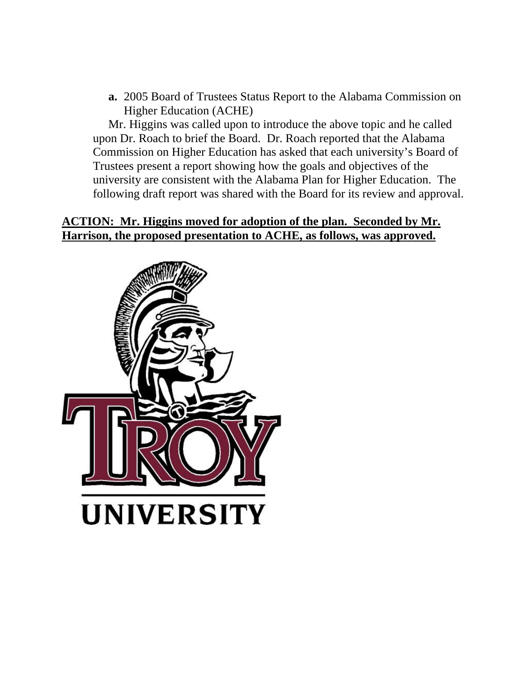**a.** 2005 Board of Trustees Status Report to the Alabama Commission on Higher Education (ACHE)

Mr. Higgins was called upon to introduce the above topic and he called upon Dr. Roach to brief the Board. Dr. Roach reported that the Alabama Commission on Higher Education has asked that each university's Board of Trustees present a report showing how the goals and objectives of the university are consistent with the Alabama Plan for Higher Education. The following draft report was shared with the Board for its review and approval.

# **ACTION: Mr. Higgins moved for adoption of the plan. Seconded by Mr. Harrison, the proposed presentation to ACHE, as follows, was approved.**

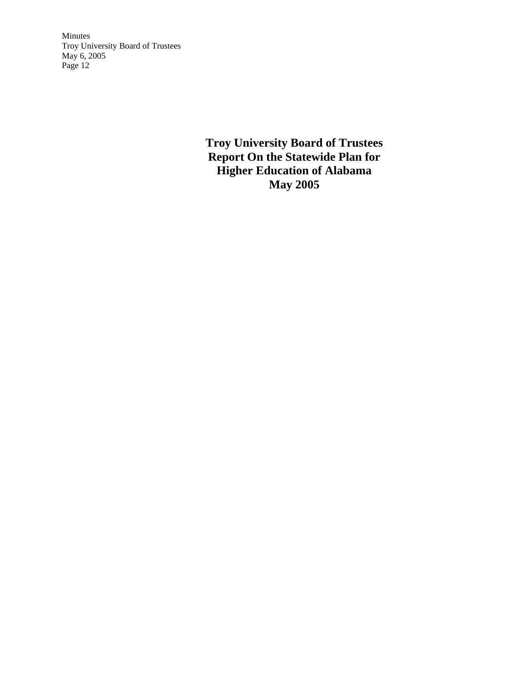> **Troy University Board of Trustees Report On the Statewide Plan for Higher Education of Alabama May 2005**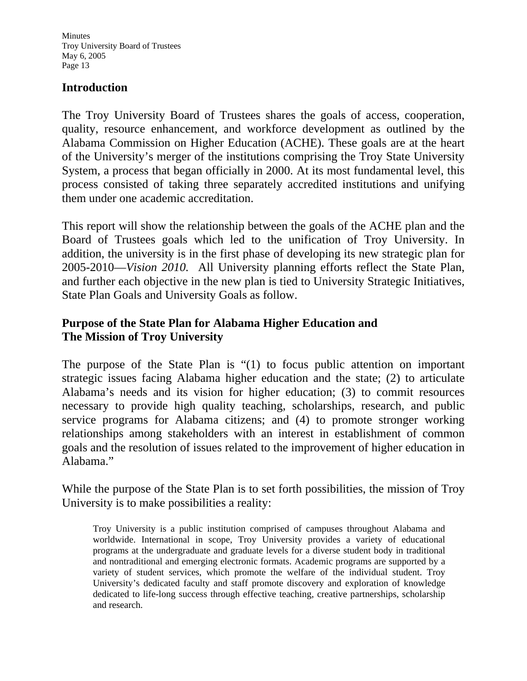### **Introduction**

The Troy University Board of Trustees shares the goals of access, cooperation, quality, resource enhancement, and workforce development as outlined by the Alabama Commission on Higher Education (ACHE). These goals are at the heart of the University's merger of the institutions comprising the Troy State University System, a process that began officially in 2000. At its most fundamental level, this process consisted of taking three separately accredited institutions and unifying them under one academic accreditation.

This report will show the relationship between the goals of the ACHE plan and the Board of Trustees goals which led to the unification of Troy University. In addition, the university is in the first phase of developing its new strategic plan for 2005-2010—*Vision 2010.* All University planning efforts reflect the State Plan, and further each objective in the new plan is tied to University Strategic Initiatives, State Plan Goals and University Goals as follow.

### **Purpose of the State Plan for Alabama Higher Education and The Mission of Troy University**

The purpose of the State Plan is "(1) to focus public attention on important strategic issues facing Alabama higher education and the state; (2) to articulate Alabama's needs and its vision for higher education; (3) to commit resources necessary to provide high quality teaching, scholarships, research, and public service programs for Alabama citizens; and (4) to promote stronger working relationships among stakeholders with an interest in establishment of common goals and the resolution of issues related to the improvement of higher education in Alabama."

While the purpose of the State Plan is to set forth possibilities, the mission of Troy University is to make possibilities a reality:

Troy University is a public institution comprised of campuses throughout Alabama and worldwide. International in scope, Troy University provides a variety of educational programs at the undergraduate and graduate levels for a diverse student body in traditional and nontraditional and emerging electronic formats. Academic programs are supported by a variety of student services, which promote the welfare of the individual student. Troy University's dedicated faculty and staff promote discovery and exploration of knowledge dedicated to life-long success through effective teaching, creative partnerships, scholarship and research.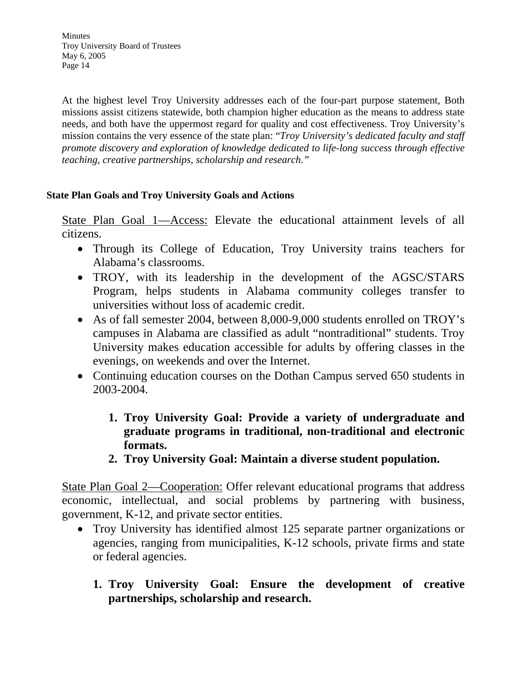At the highest level Troy University addresses each of the four-part purpose statement, Both missions assist citizens statewide, both champion higher education as the means to address state needs, and both have the uppermost regard for quality and cost effectiveness. Troy University's mission contains the very essence of the state plan: "*Troy University's dedicated faculty and staff promote discovery and exploration of knowledge dedicated to life-long success through effective teaching, creative partnerships, scholarship and research."* 

#### **State Plan Goals and Troy University Goals and Actions**

State Plan Goal 1—Access: Elevate the educational attainment levels of all citizens.

- Through its College of Education, Troy University trains teachers for Alabama's classrooms.
- TROY, with its leadership in the development of the AGSC/STARS Program, helps students in Alabama community colleges transfer to universities without loss of academic credit.
- As of fall semester 2004, between 8,000-9,000 students enrolled on TROY's campuses in Alabama are classified as adult "nontraditional" students. Troy University makes education accessible for adults by offering classes in the evenings, on weekends and over the Internet.
- Continuing education courses on the Dothan Campus served 650 students in 2003-2004.
	- **1. Troy University Goal: Provide a variety of undergraduate and graduate programs in traditional, non-traditional and electronic formats.**
	- **2. Troy University Goal: Maintain a diverse student population.**

State Plan Goal 2—Cooperation: Offer relevant educational programs that address economic, intellectual, and social problems by partnering with business, government, K-12, and private sector entities.

- Troy University has identified almost 125 separate partner organizations or agencies, ranging from municipalities, K-12 schools, private firms and state or federal agencies.
	- **1. Troy University Goal: Ensure the development of creative partnerships, scholarship and research.**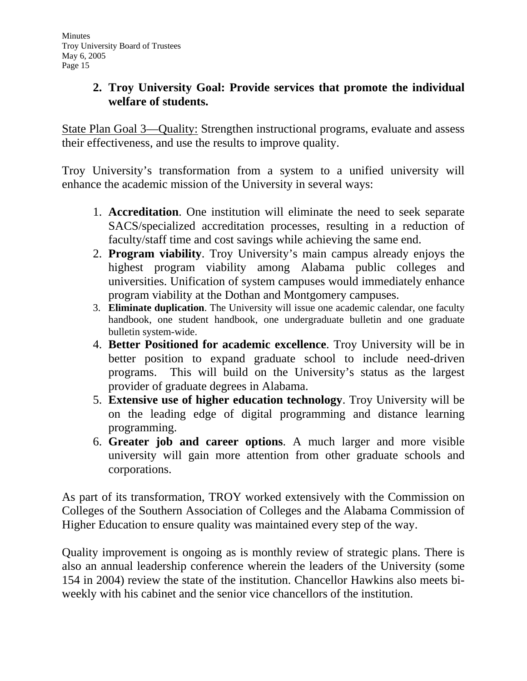# **2. Troy University Goal: Provide services that promote the individual welfare of students.**

State Plan Goal 3—Quality: Strengthen instructional programs, evaluate and assess their effectiveness, and use the results to improve quality.

Troy University's transformation from a system to a unified university will enhance the academic mission of the University in several ways:

- 1. **Accreditation**. One institution will eliminate the need to seek separate SACS/specialized accreditation processes, resulting in a reduction of faculty/staff time and cost savings while achieving the same end.
- 2. **Program viability**. Troy University's main campus already enjoys the highest program viability among Alabama public colleges and universities. Unification of system campuses would immediately enhance program viability at the Dothan and Montgomery campuses.
- 3. **Eliminate duplication**. The University will issue one academic calendar, one faculty handbook, one student handbook, one undergraduate bulletin and one graduate bulletin system-wide.
- 4. **Better Positioned for academic excellence**. Troy University will be in better position to expand graduate school to include need-driven programs. This will build on the University's status as the largest provider of graduate degrees in Alabama.
- 5. **Extensive use of higher education technology**. Troy University will be on the leading edge of digital programming and distance learning programming.
- 6. **Greater job and career options**. A much larger and more visible university will gain more attention from other graduate schools and corporations.

As part of its transformation, TROY worked extensively with the Commission on Colleges of the Southern Association of Colleges and the Alabama Commission of Higher Education to ensure quality was maintained every step of the way.

Quality improvement is ongoing as is monthly review of strategic plans. There is also an annual leadership conference wherein the leaders of the University (some 154 in 2004) review the state of the institution. Chancellor Hawkins also meets biweekly with his cabinet and the senior vice chancellors of the institution.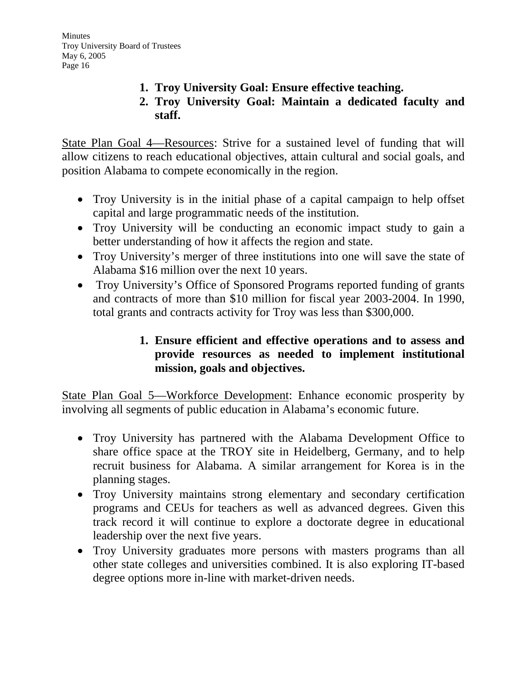**1. Troy University Goal: Ensure effective teaching.** 

### **2. Troy University Goal: Maintain a dedicated faculty and staff.**

State Plan Goal 4—Resources: Strive for a sustained level of funding that will allow citizens to reach educational objectives, attain cultural and social goals, and position Alabama to compete economically in the region.

- Troy University is in the initial phase of a capital campaign to help offset capital and large programmatic needs of the institution.
- Troy University will be conducting an economic impact study to gain a better understanding of how it affects the region and state.
- Troy University's merger of three institutions into one will save the state of Alabama \$16 million over the next 10 years.
- Troy University's Office of Sponsored Programs reported funding of grants and contracts of more than \$10 million for fiscal year 2003-2004. In 1990, total grants and contracts activity for Troy was less than \$300,000.

# **1. Ensure efficient and effective operations and to assess and provide resources as needed to implement institutional mission, goals and objectives.**

State Plan Goal 5—Workforce Development: Enhance economic prosperity by involving all segments of public education in Alabama's economic future.

- Troy University has partnered with the Alabama Development Office to share office space at the TROY site in Heidelberg, Germany, and to help recruit business for Alabama. A similar arrangement for Korea is in the planning stages.
- Troy University maintains strong elementary and secondary certification programs and CEUs for teachers as well as advanced degrees. Given this track record it will continue to explore a doctorate degree in educational leadership over the next five years.
- Troy University graduates more persons with masters programs than all other state colleges and universities combined. It is also exploring IT-based degree options more in-line with market-driven needs.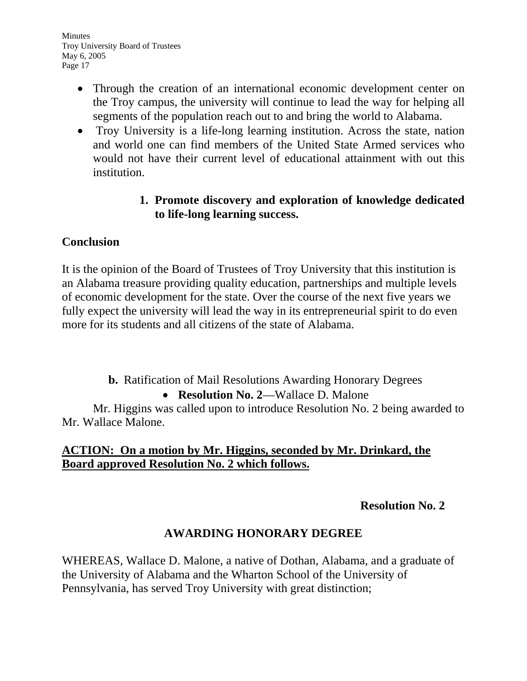- Through the creation of an international economic development center on the Troy campus, the university will continue to lead the way for helping all segments of the population reach out to and bring the world to Alabama.
- Troy University is a life-long learning institution. Across the state, nation and world one can find members of the United State Armed services who would not have their current level of educational attainment with out this institution.

# **1. Promote discovery and exploration of knowledge dedicated to life-long learning success.**

### **Conclusion**

It is the opinion of the Board of Trustees of Troy University that this institution is an Alabama treasure providing quality education, partnerships and multiple levels of economic development for the state. Over the course of the next five years we fully expect the university will lead the way in its entrepreneurial spirit to do even more for its students and all citizens of the state of Alabama.

**b.** Ratification of Mail Resolutions Awarding Honorary Degrees

• **Resolution No. 2**—Wallace D. Malone

Mr. Higgins was called upon to introduce Resolution No. 2 being awarded to Mr. Wallace Malone.

# **ACTION: On a motion by Mr. Higgins, seconded by Mr. Drinkard, the Board approved Resolution No. 2 which follows.**

**Resolution No. 2** 

# **AWARDING HONORARY DEGREE**

WHEREAS, Wallace D. Malone, a native of Dothan, Alabama, and a graduate of the University of Alabama and the Wharton School of the University of Pennsylvania, has served Troy University with great distinction;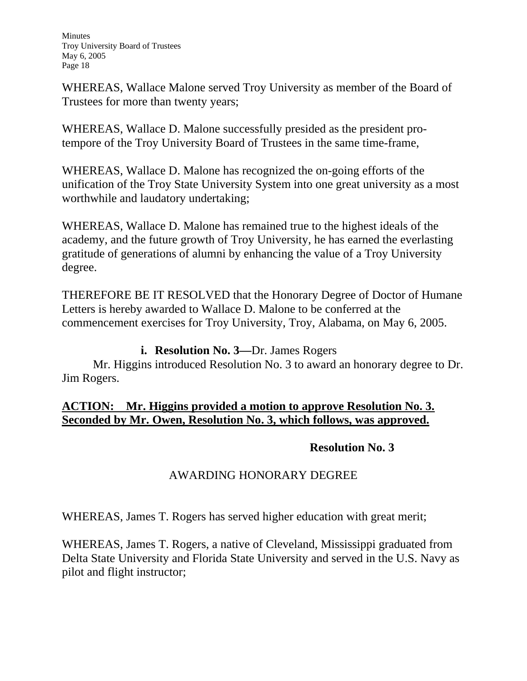WHEREAS, Wallace Malone served Troy University as member of the Board of Trustees for more than twenty years;

WHEREAS, Wallace D. Malone successfully presided as the president protempore of the Troy University Board of Trustees in the same time-frame,

WHEREAS, Wallace D. Malone has recognized the on-going efforts of the unification of the Troy State University System into one great university as a most worthwhile and laudatory undertaking;

WHEREAS, Wallace D. Malone has remained true to the highest ideals of the academy, and the future growth of Troy University, he has earned the everlasting gratitude of generations of alumni by enhancing the value of a Troy University degree.

THEREFORE BE IT RESOLVED that the Honorary Degree of Doctor of Humane Letters is hereby awarded to Wallace D. Malone to be conferred at the commencement exercises for Troy University, Troy, Alabama, on May 6, 2005.

**i. Resolution No. 3—**Dr. James Rogers

Mr. Higgins introduced Resolution No. 3 to award an honorary degree to Dr. Jim Rogers.

# **ACTION: Mr. Higgins provided a motion to approve Resolution No. 3. Seconded by Mr. Owen, Resolution No. 3, which follows, was approved.**

# **Resolution No. 3**

# AWARDING HONORARY DEGREE

WHEREAS, James T. Rogers has served higher education with great merit;

WHEREAS, James T. Rogers, a native of Cleveland, Mississippi graduated from Delta State University and Florida State University and served in the U.S. Navy as pilot and flight instructor;